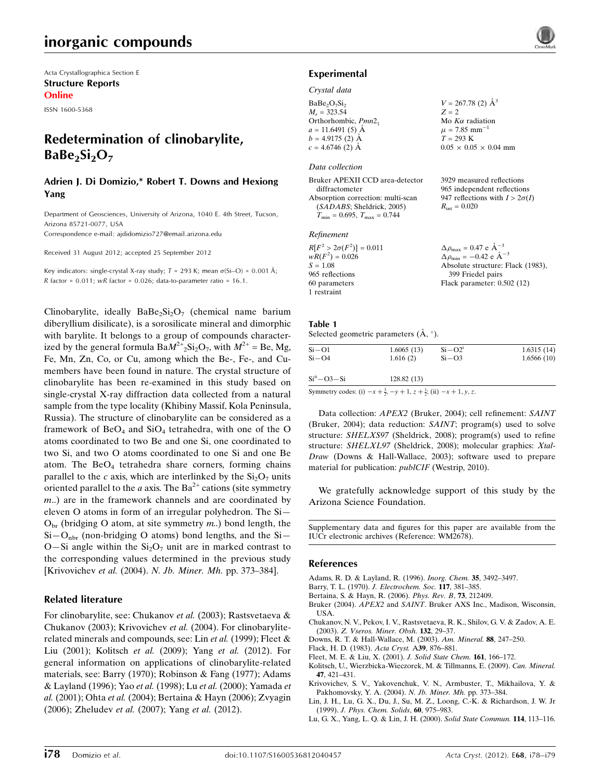# inorganic compounds

Acta Crystallographica Section E Structure Reports Online

ISSN 1600-5368

## Redetermination of clinobarylite,  $BaBe<sub>2</sub>Si<sub>2</sub>O<sub>7</sub>$

#### Adrien J. Di Domizio,\* Robert T. Downs and Hexiong Yang

Department of Geosciences, University of Arizona, 1040 E. 4th Street, Tucson, Arizona 85721-0077, USA

Correspondence e-mail: [ajdidomizio727@email.arizona.edu](http://scripts.iucr.org/cgi-bin/cr.cgi?rm=pdfbb&cnor=wm2678&bbid=BB23)

Received 31 August 2012; accepted 25 September 2012

Key indicators: single-crystal X-ray study;  $T = 293$  K; mean  $\sigma(S_i-O) = 0.001$  Å;  $R$  factor = 0.011;  $wR$  factor = 0.026; data-to-parameter ratio = 16.1.

Clinobarylite, ideally  $BaBe_2Si_2O_7$  (chemical name barium diberyllium disilicate), is a sorosilicate mineral and dimorphic with barylite. It belongs to a group of compounds characterized by the general formula  $BaM^{2+}{}_{2}Si_{2}O_{7}$ , with  $M^{2+}$  = Be, Mg, Fe, Mn, Zn, Co, or Cu, among which the Be-, Fe-, and Cumembers have been found in nature. The crystal structure of clinobarylite has been re-examined in this study based on single-crystal X-ray diffraction data collected from a natural sample from the type locality (Khibiny Massif, Kola Peninsula, Russia). The structure of clinobarylite can be considered as a framework of  $BeO<sub>4</sub>$  and  $SiO<sub>4</sub>$  tetrahedra, with one of the O atoms coordinated to two Be and one Si, one coordinated to two Si, and two O atoms coordinated to one Si and one Be atom. The  $BeO<sub>4</sub>$  tetrahedra share corners, forming chains parallel to the c axis, which are interlinked by the  $Si<sub>2</sub>O<sub>7</sub>$  units oriented parallel to the *a* axis. The  $Ba^{2+}$  cations (site symmetry m..) are in the framework channels and are coordinated by eleven O atoms in form of an irregular polyhedron. The Si—  $O<sub>br</sub>$  (bridging O atom, at site symmetry m.) bond length, the  $Si-O<sub>nbr</sub>$  (non-bridging O atoms) bond lengths, and the Si-O—Si angle within the  $Si<sub>2</sub>O<sub>7</sub>$  unit are in marked contrast to the corresponding values determined in the previous study [Krivovichev et al. (2004). N. Jb. Miner. Mh. pp. 373–384].

#### Related literature

For clinobarylite, see: Chukanov et al. (2003); Rastsvetaeva & Chukanov (2003); Krivovichev et al. (2004). For clinobaryliterelated minerals and compounds, see: Lin et al. (1999); Fleet & Liu (2001); Kolitsch et al. (2009); Yang et al. (2012). For general information on applications of clinobarylite-related materials, see: Barry (1970); Robinson & Fang (1977); Adams & Layland (1996); Yao et al. (1998); Lu et al. (2000); Yamada et al. (2001); Ohta et al. (2004); Bertaina & Hayn (2006); Zvyagin (2006); Zheludev et al. (2007); Yang et al. (2012).

1

3929 measured reflections 965 independent reflections 947 reflections with  $I > 2\sigma(I)$ 

 $R_{\text{int}} = 0.020$ 

#### Experimental

#### Crystal data

BaBe<sub>2</sub>O<sub>7</sub>Si<sub>2</sub>  $M_r = 323.54$ Orthorhombic, Pmn2<sub>1</sub>  $a = 11.6491(5)$  Å  $b = 4.9175$  (2) Å  $c = 4.6746(2)$  Å  $V = 267.78$  (2)  $\AA^3$  $Z = 2$ Mo  $K\alpha$  radiation  $\mu$  = 7.85 mm<sup>-</sup>  $T = 293 K$  $0.05 \times 0.05 \times 0.04$  mm

#### Data collection

| Bruker APEXII CCD area-detector                  |  |
|--------------------------------------------------|--|
| diffractometer                                   |  |
| Absorption correction: multi-scan                |  |
| (SADABS; Sheldrick, 2005)                        |  |
| $T_{\text{min}} = 0.695, T_{\text{max}} = 0.744$ |  |

#### Refinement

| $R[F^2 > 2\sigma(F^2)] = 0.011$ | $\Delta \rho_{\text{max}} = 0.47 \text{ e} \text{ Å}^{-3}$ |
|---------------------------------|------------------------------------------------------------|
| $wR(F^2) = 0.026$               | $\Delta \rho_{\rm min} = -0.42$ e $\rm \AA^{-3}$           |
| $S = 1.08$                      | Absolute structure: Flack (1983),                          |
| 965 reflections                 | 399 Friedel pairs                                          |
| 60 parameters                   | Flack parameter: $0.502(12)$                               |
| 1 restraint                     |                                                            |

#### Table 1

Selected geometric parameters  $(\mathbf{A}, \circ)$ .

| $Si-O1$        | 1.6065(13) | $Si - O2$ <sup>1</sup> | 1.6315(14) |
|----------------|------------|------------------------|------------|
| $Si-O4$        | 1.616(2)   | $Si-O3$                | 1.6566(10) |
| $Siii - O3-Si$ | 128.82(13) |                        |            |

Symmetry codes: (i)  $-x + \frac{3}{2}$ ,  $-y + 1$ ,  $z + \frac{1}{2}$ ; (ii)  $-x + 1$ , y, z.

Data collection: APEX2 (Bruker, 2004); cell refinement: SAINT (Bruker, 2004); data reduction: SAINT; program(s) used to solve structure: SHELXS97 (Sheldrick, 2008); program(s) used to refine structure: SHELXL97 (Sheldrick, 2008); molecular graphics: Xtal-Draw (Downs & Hall-Wallace, 2003); software used to prepare material for publication: *publCIF* (Westrip, 2010).

We gratefully acknowledge support of this study by the Arizona Science Foundation.

Supplementary data and figures for this paper are available from the IUCr electronic archives (Reference: WM2678).

#### References

- [Adams, R. D. & Layland, R. \(1996\).](http://scripts.iucr.org/cgi-bin/cr.cgi?rm=pdfbb&cnor=wm2678&bbid=BB1) Inorg. Chem. 35, 3492–3497.
- Barry, T. L. (1970). [J. Electrochem. Soc.](http://scripts.iucr.org/cgi-bin/cr.cgi?rm=pdfbb&cnor=wm2678&bbid=BB2) 117, 381–385.
- [Bertaina, S. & Hayn, R. \(2006\).](http://scripts.iucr.org/cgi-bin/cr.cgi?rm=pdfbb&cnor=wm2678&bbid=BB3) Phys. Rev. B, 73, 212409.
- Bruker (2004). APEX2 and SAINT[. Bruker AXS Inc., Madison, Wisconsin,](http://scripts.iucr.org/cgi-bin/cr.cgi?rm=pdfbb&cnor=wm2678&bbid=BB4) [USA.](http://scripts.iucr.org/cgi-bin/cr.cgi?rm=pdfbb&cnor=wm2678&bbid=BB4)
- [Chukanov, N. V., Pekov, I. V., Rastsvetaeva, R. K., Shilov, G. V. & Zadov, A. E.](http://scripts.iucr.org/cgi-bin/cr.cgi?rm=pdfbb&cnor=wm2678&bbid=BB5) (2003). [Z. Vseros. Miner. Obsh.](http://scripts.iucr.org/cgi-bin/cr.cgi?rm=pdfbb&cnor=wm2678&bbid=BB5) 132, 29–37.
- [Downs, R. T. & Hall-Wallace, M. \(2003\).](http://scripts.iucr.org/cgi-bin/cr.cgi?rm=pdfbb&cnor=wm2678&bbid=BB6) Am. Mineral. 88, 247–250.
- [Flack, H. D. \(1983\).](http://scripts.iucr.org/cgi-bin/cr.cgi?rm=pdfbb&cnor=wm2678&bbid=BB7) Acta Cryst. A39, 876–881.
- [Fleet, M. E. & Liu, X. \(2001\).](http://scripts.iucr.org/cgi-bin/cr.cgi?rm=pdfbb&cnor=wm2678&bbid=BB8) J. Solid State Chem. 161, 166–172.
- [Kolitsch, U., Wierzbicka-Wieczorek, M. & Tillmanns, E. \(2009\).](http://scripts.iucr.org/cgi-bin/cr.cgi?rm=pdfbb&cnor=wm2678&bbid=BB9) Can. Mineral. 47[, 421–431.](http://scripts.iucr.org/cgi-bin/cr.cgi?rm=pdfbb&cnor=wm2678&bbid=BB9)
- [Krivovichev, S. V., Yakovenchuk, V. N., Armbuster, T., Mikhailova, Y. &](http://scripts.iucr.org/cgi-bin/cr.cgi?rm=pdfbb&cnor=wm2678&bbid=BB10) [Pakhomovsky, Y. A. \(2004\).](http://scripts.iucr.org/cgi-bin/cr.cgi?rm=pdfbb&cnor=wm2678&bbid=BB10) N. Jb. Miner. Mh. pp. 373–384.
- [Lin, J. H., Lu, G. X., Du, J., Su, M. Z., Loong, C.-K. & Richardson, J. W. Jr](http://scripts.iucr.org/cgi-bin/cr.cgi?rm=pdfbb&cnor=wm2678&bbid=BB11) (1999). [J. Phys. Chem. Solids](http://scripts.iucr.org/cgi-bin/cr.cgi?rm=pdfbb&cnor=wm2678&bbid=BB11), 60, 975–983.
- [Lu, G. X., Yang, L. Q. & Lin, J. H. \(2000\).](http://scripts.iucr.org/cgi-bin/cr.cgi?rm=pdfbb&cnor=wm2678&bbid=BB12) Solid State Commun. 114, 113–116.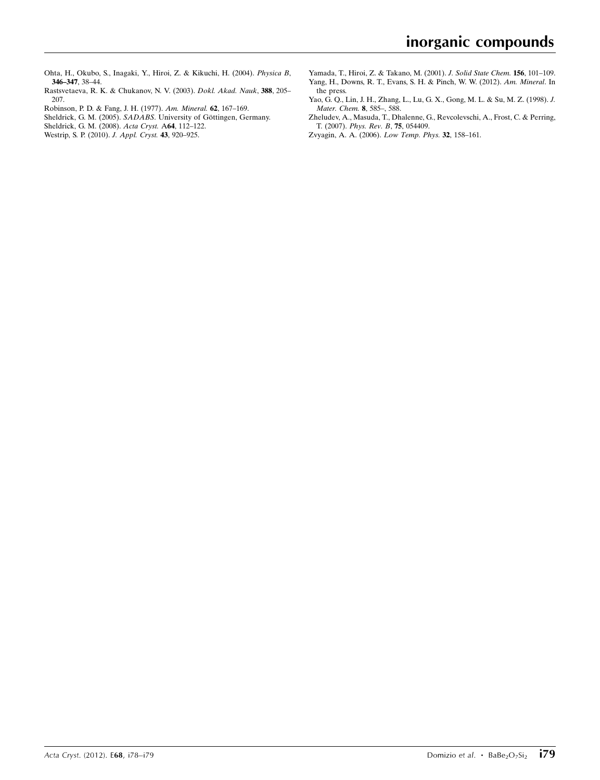- [Ohta, H., Okubo, S., Inagaki, Y., Hiroi, Z. & Kikuchi, H. \(2004\).](http://scripts.iucr.org/cgi-bin/cr.cgi?rm=pdfbb&cnor=wm2678&bbid=BB13) Physica B, [346–347](http://scripts.iucr.org/cgi-bin/cr.cgi?rm=pdfbb&cnor=wm2678&bbid=BB13), 38–44.
- [Rastsvetaeva, R. K. & Chukanov, N. V. \(2003\).](http://scripts.iucr.org/cgi-bin/cr.cgi?rm=pdfbb&cnor=wm2678&bbid=BB14) Dokl. Akad. Nauk, 388, 205– [207.](http://scripts.iucr.org/cgi-bin/cr.cgi?rm=pdfbb&cnor=wm2678&bbid=BB14)
- [Robinson, P. D. & Fang, J. H. \(1977\).](http://scripts.iucr.org/cgi-bin/cr.cgi?rm=pdfbb&cnor=wm2678&bbid=BB15) Am. Mineral. 62, 167–169.
- Sheldrick, G. M. (2005). SADABS. University of Göttingen, Germany.
- [Sheldrick, G. M. \(2008\).](http://scripts.iucr.org/cgi-bin/cr.cgi?rm=pdfbb&cnor=wm2678&bbid=BB17) Acta Cryst. A64, 112–122. [Westrip, S. P. \(2010\).](http://scripts.iucr.org/cgi-bin/cr.cgi?rm=pdfbb&cnor=wm2678&bbid=BB18) J. Appl. Cryst. 43, 920–925.
- [Yamada, T., Hiroi, Z. & Takano, M. \(2001\).](http://scripts.iucr.org/cgi-bin/cr.cgi?rm=pdfbb&cnor=wm2678&bbid=BB19) J. Solid State Chem. 156, 101–109. [Yang, H., Downs, R. T., Evans, S. H. & Pinch, W. W. \(2012\).](http://scripts.iucr.org/cgi-bin/cr.cgi?rm=pdfbb&cnor=wm2678&bbid=BB20) Am. Mineral. In [the press.](http://scripts.iucr.org/cgi-bin/cr.cgi?rm=pdfbb&cnor=wm2678&bbid=BB20)
- [Yao, G. Q., Lin, J. H., Zhang, L., Lu, G. X., Gong, M. L. & Su, M. Z. \(1998\).](http://scripts.iucr.org/cgi-bin/cr.cgi?rm=pdfbb&cnor=wm2678&bbid=BB21) J. [Mater. Chem.](http://scripts.iucr.org/cgi-bin/cr.cgi?rm=pdfbb&cnor=wm2678&bbid=BB21) 8, 585–, 588.
- [Zheludev, A., Masuda, T., Dhalenne, G., Revcolevschi, A., Frost, C. & Perring,](http://scripts.iucr.org/cgi-bin/cr.cgi?rm=pdfbb&cnor=wm2678&bbid=BB22) T. (2007). [Phys. Rev. B](http://scripts.iucr.org/cgi-bin/cr.cgi?rm=pdfbb&cnor=wm2678&bbid=BB22), 75, 054409.
- [Zvyagin, A. A. \(2006\).](http://scripts.iucr.org/cgi-bin/cr.cgi?rm=pdfbb&cnor=wm2678&bbid=BB23) Low Temp. Phys. 32, 158–161.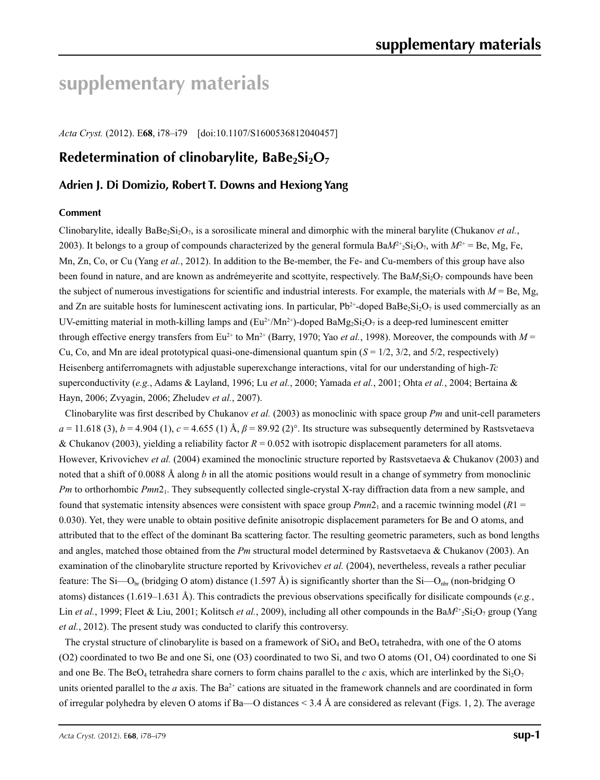# **supplementary materials**

*Acta Cryst.* (2012). E**68**, i78–i79 [doi:10.1107/S1600536812040457]

### **Redetermination of clinobarylite, BaBe2Si2O7**

#### **Adrien J. Di Domizio, Robert T. Downs and Hexiong Yang**

#### **Comment**

Clinobarylite, ideally BaBe2Si2O7, is a sorosilicate mineral and dimorphic with the mineral barylite (Chukanov *et al.*, 2003). It belongs to a group of compounds characterized by the general formula  $BaM<sup>2+</sup>$ <sub>Si</sub><sub>2</sub>O<sub>7</sub>, with  $M<sup>2+</sup> = Be$ , Mg, Fe, Mn, Zn, Co, or Cu (Yang *et al.*, 2012). In addition to the Be-member, the Fe- and Cu-members of this group have also been found in nature, and are known as andrémeyerite and scottyite, respectively. The Ba $M_2Si_2O_7$  compounds have been the subject of numerous investigations for scientific and industrial interests. For example, the materials with  $M = Be$ , Mg, and Zn are suitable hosts for luminescent activating ions. In particular,  $Pb^{2+}$ -doped BaBe<sub>2</sub>Si<sub>2</sub>O<sub>7</sub> is used commercially as an UV-emitting material in moth-killing lamps and  $(Eu^{2+}/Mn^{2+})$ -doped BaMg<sub>2</sub>Si<sub>2</sub>O<sub>7</sub> is a deep-red luminescent emitter through effective energy transfers from  $Eu^{2+}$  to  $Mn^{2+}$  (Barry, 1970; Yao *et al.*, 1998). Moreover, the compounds with  $M =$ Cu, Co, and Mn are ideal prototypical quasi-one-dimensional quantum spin  $(S = 1/2, 3/2, \text{ and } 5/2, \text{ respectively})$ Heisenberg antiferromagnets with adjustable superexchange interactions, vital for our understanding of high-*Tc* superconductivity (*e.g.*, Adams & Layland, 1996; Lu *et al.*, 2000; Yamada *et al.*, 2001; Ohta *et al.*, 2004; Bertaina & Hayn, 2006; Zvyagin, 2006; Zheludev *et al.*, 2007).

Clinobarylite was first described by Chukanov *et al.* (2003) as monoclinic with space group *Pm* and unit-cell parameters  $a = 11.618(3)$ ,  $b = 4.904(1)$ ,  $c = 4.655(1)$  Å,  $\beta = 89.92(2)$ °. Its structure was subsequently determined by Rastsvetaeva & Chukanov (2003), yielding a reliability factor  $R = 0.052$  with isotropic displacement parameters for all atoms. However, Krivovichev et al. (2004) examined the monoclinic structure reported by Rastsvetaeva & Chukanov (2003) and noted that a shift of 0.0088 Å along *b* in all the atomic positions would result in a change of symmetry from monoclinic *Pm* to orthorhombic *Pmn*2<sub>1</sub>. They subsequently collected single-crystal X-ray diffraction data from a new sample, and found that systematic intensity absences were consistent with space group  $Pmn2_1$  and a racemic twinning model  $(R1 =$ 0.030). Yet, they were unable to obtain positive definite anisotropic displacement parameters for Be and O atoms, and attributed that to the effect of the dominant Ba scattering factor. The resulting geometric parameters, such as bond lengths and angles, matched those obtained from the *Pm* structural model determined by Rastsvetaeva & Chukanov (2003). An examination of the clinobarylite structure reported by Krivovichev *et al.* (2004), nevertheless, reveals a rather peculiar feature: The Si—O<sub>br</sub> (bridging O atom) distance (1.597 Å) is significantly shorter than the Si—O<sub>nbr</sub> (non-bridging O atoms) distances (1.619–1.631 Å). This contradicts the previous observations specifically for disilicate compounds (*e.g.*, Lin *et al.*, 1999; Fleet & Liu, 2001; Kolitsch *et al.*, 2009), including all other compounds in the BaM<sup>2+</sup><sub>2</sub>Si<sub>2</sub>O<sub>7</sub> group (Yang *et al.*, 2012). The present study was conducted to clarify this controversy.

The crystal structure of clinobarylite is based on a framework of  $SiO<sub>4</sub>$  and  $BeO<sub>4</sub>$  tetrahedra, with one of the O atoms (O2) coordinated to two Be and one Si, one (O3) coordinated to two Si, and two O atoms (O1, O4) coordinated to one Si and one Be. The BeO<sub>4</sub> tetrahedra share corners to form chains parallel to the *c* axis, which are interlinked by the  $Si<sub>2</sub>O<sub>7</sub>$ units oriented parallel to the *a* axis. The  $Ba^{2+}$  cations are situated in the framework channels and are coordinated in form of irregular polyhedra by eleven O atoms if Ba—O distances  $\leq 3.4$  Å are considered as relevant (Figs. 1, 2). The average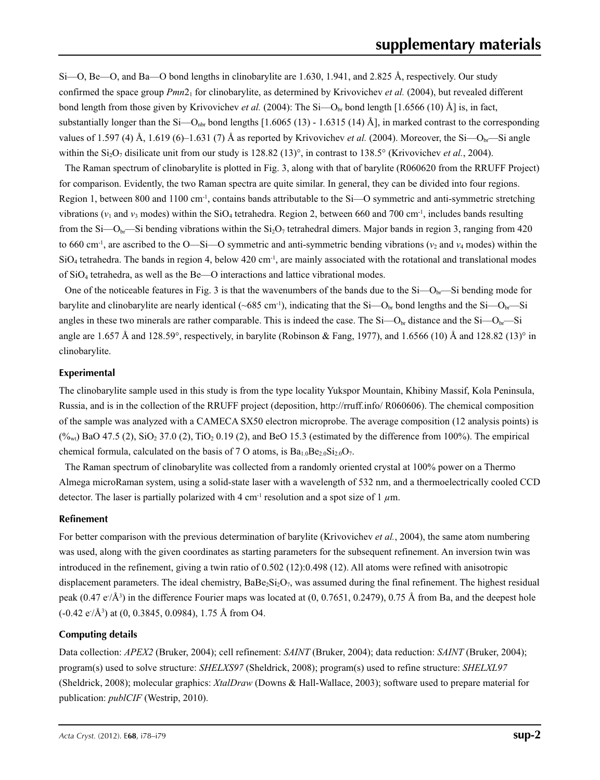Si—O, Be—O, and Ba—O bond lengths in clinobarylite are 1.630, 1.941, and 2.825 Å, respectively. Our study confirmed the space group *Pmn*21 for clinobarylite, as determined by Krivovichev *et al.* (2004), but revealed different bond length from those given by Krivovichev *et al.* (2004): The Si—O<sub>br</sub> bond length [1.6566 (10) Å] is, in fact, substantially longer than the Si—O<sub>nbr</sub> bond lengths [1.6065 (13) - 1.6315 (14) Å], in marked contrast to the corresponding values of 1.597 (4) Å, 1.619 (6)–1.631 (7) Å as reported by Krivovichev *et al.* (2004). Moreover, the Si—O<sub>br</sub>—Si angle within the  $Si_2O_7$  disilicate unit from our study is 128.82 (13)°, in contrast to 138.5° (Krivovichev *et al.*, 2004).

The Raman spectrum of clinobarylite is plotted in Fig. 3, along with that of barylite (R060620 from the RRUFF Project) for comparison. Evidently, the two Raman spectra are quite similar. In general, they can be divided into four regions. Region 1, between 800 and 1100 cm<sup>-1</sup>, contains bands attributable to the Si—O symmetric and anti-symmetric stretching vibrations ( $v_1$  and  $v_3$  modes) within the SiO<sub>4</sub> tetrahedra. Region 2, between 660 and 700 cm<sup>-1</sup>, includes bands resulting from the Si—O<sub>br</sub>—Si bending vibrations within the Si<sub>2</sub>O<sub>7</sub> tetrahedral dimers. Major bands in region 3, ranging from 420 to 660 cm<sup>-1</sup>, are ascribed to the O—Si—O symmetric and anti-symmetric bending vibrations ( $v_2$  and  $v_4$  modes) within the  $SiO<sub>4</sub>$  tetrahedra. The bands in region 4, below 420 cm<sup>-1</sup>, are mainly associated with the rotational and translational modes of SiO4 tetrahedra, as well as the Be—O interactions and lattice vibrational modes.

One of the noticeable features in Fig. 3 is that the wavenumbers of the bands due to the  $Si-O<sub>br</sub>$ —Si bending mode for barylite and clinobarylite are nearly identical (~685 cm<sup>-1</sup>), indicating that the Si—O<sub>br</sub> bond lengths and the Si—O<sub>br</sub>—Si angles in these two minerals are rather comparable. This is indeed the case. The Si $-O<sub>br</sub>$  distance and the Si $-O<sub>br</sub>$ —Si angle are 1.657 Å and 128.59°, respectively, in barylite (Robinson & Fang, 1977), and 1.6566 (10) Å and 128.82 (13)° in clinobarylite.

#### **Experimental**

The clinobarylite sample used in this study is from the type locality Yukspor Mountain, Khibiny Massif, Kola Peninsula, Russia, and is in the collection of the RRUFF project (deposition, http://rruff.info/ R060606). The chemical composition of the sample was analyzed with a CAMECA SX50 electron microprobe. The average composition (12 analysis points) is  $(\frac{6}{w_{\text{wt}}}$  BaO 47.5 (2), SiO<sub>2</sub> 37.0 (2), TiO<sub>2</sub> 0.19 (2), and BeO 15.3 (estimated by the difference from 100%). The empirical chemical formula, calculated on the basis of 7 O atoms, is  $Ba_{1.0}Be_{2.0}Si_{2.0}O_7$ .

The Raman spectrum of clinobarylite was collected from a randomly oriented crystal at 100% power on a Thermo Almega microRaman system, using a solid-state laser with a wavelength of 532 nm, and a thermoelectrically cooled CCD detector. The laser is partially polarized with 4 cm<sup>-1</sup> resolution and a spot size of 1  $\mu$ m.

#### **Refinement**

For better comparison with the previous determination of barylite (Krivovichev *et al.*, 2004), the same atom numbering was used, along with the given coordinates as starting parameters for the subsequent refinement. An inversion twin was introduced in the refinement, giving a twin ratio of 0.502 (12):0.498 (12). All atoms were refined with anisotropic displacement parameters. The ideal chemistry,  $BaBe_2Si_2O_7$ , was assumed during the final refinement. The highest residual peak  $(0.47 \text{ e}/\text{\AA}^3)$  in the difference Fourier maps was located at  $(0, 0.7651, 0.2479)$ , 0.75 Å from Ba, and the deepest hole  $(-0.42 \text{ e}/\text{\AA}^3)$  at  $(0, 0.3845, 0.0984)$ , 1.75 Å from O4.

#### **Computing details**

Data collection: *APEX2* (Bruker, 2004); cell refinement: *SAINT* (Bruker, 2004); data reduction: *SAINT* (Bruker, 2004); program(s) used to solve structure: *SHELXS97* (Sheldrick, 2008); program(s) used to refine structure: *SHELXL97* (Sheldrick, 2008); molecular graphics: *XtalDraw* (Downs & Hall-Wallace, 2003); software used to prepare material for publication: *publCIF* (Westrip, 2010).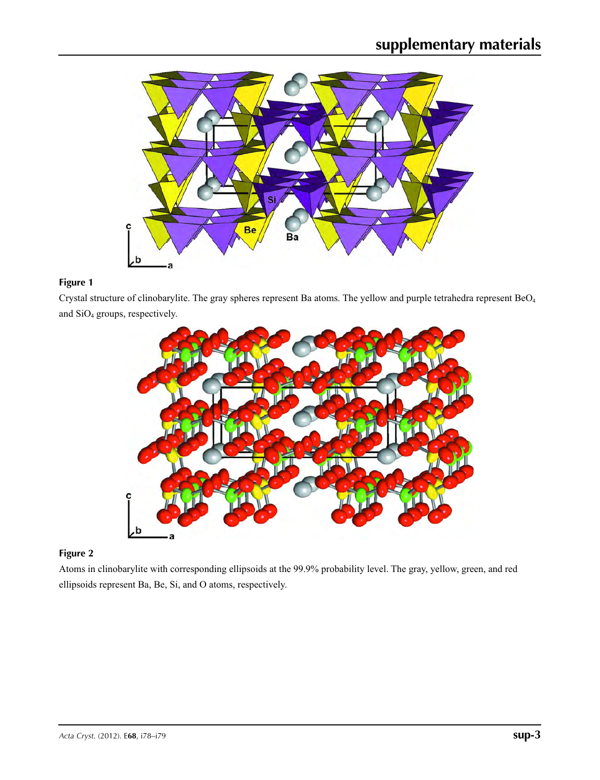

### **Figure 1**

Crystal structure of clinobarylite. The gray spheres represent Ba atoms. The yellow and purple tetrahedra represent BeO4 and SiO4 groups, respectively.



#### **Figure 2**

Atoms in clinobarylite with corresponding ellipsoids at the 99.9% probability level. The gray, yellow, green, and red ellipsoids represent Ba, Be, Si, and O atoms, respectively.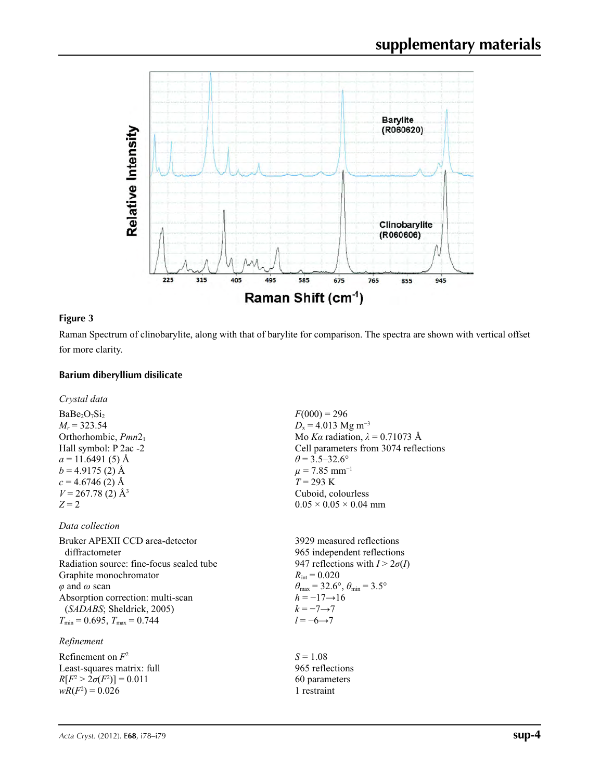

#### **Figure 3**

Raman Spectrum of clinobarylite, along with that of barylite for comparison. The spectra are shown with vertical offset for more clarity.

#### **Barium diberyllium disilicate**

*Crystal data*

 $BaBe<sub>2</sub>O<sub>7</sub>Si<sub>2</sub>$  $M_r$  = 323.54 Orthorhombic, *Pmn*21 Hall symbol: P 2ac -2  $a = 11.6491(5)$  Å  $b = 4.9175(2)$  Å  $c = 4.6746(2)$  Å  $V = 267.78(2)$  Å<sup>3</sup>  $Z = 2$ 

#### *Data collection*

Bruker APEXII CCD area-detector diffractometer Radiation source: fine-focus sealed tube Graphite monochromator *φ* and *ω* scan Absorption correction: multi-scan (*SADABS*; Sheldrick, 2005)  $T_{\text{min}} = 0.695$ ,  $T_{\text{max}} = 0.744$ 

#### *Refinement*

Refinement on *F*<sup>2</sup> Least-squares matrix: full *R*[ $F^2 > 2\sigma(F^2)$ ] = 0.011  $wR(F^2) = 0.026$ 

 $F(000) = 296$  $D_x = 4.013$  Mg m<sup>-3</sup> Mo *Kα* radiation,  $\lambda = 0.71073$  Å Cell parameters from 3074 reflections  $\theta$  = 3.5–32.6°  $\mu$  = 7.85 mm<sup>-1</sup>  $T = 293 \text{ K}$ Cuboid, colourless  $0.05 \times 0.05 \times 0.04$  mm

3929 measured reflections 965 independent reflections 947 reflections with  $I > 2\sigma(I)$  $R_{\text{int}} = 0.020$  $\theta_{\text{max}} = 32.6^{\circ}, \theta_{\text{min}} = 3.5^{\circ}$  $h = -17 \rightarrow 16$  $k = -7 \rightarrow 7$ *l* = −6→7

 $S = 1.08$ 965 reflections 60 parameters 1 restraint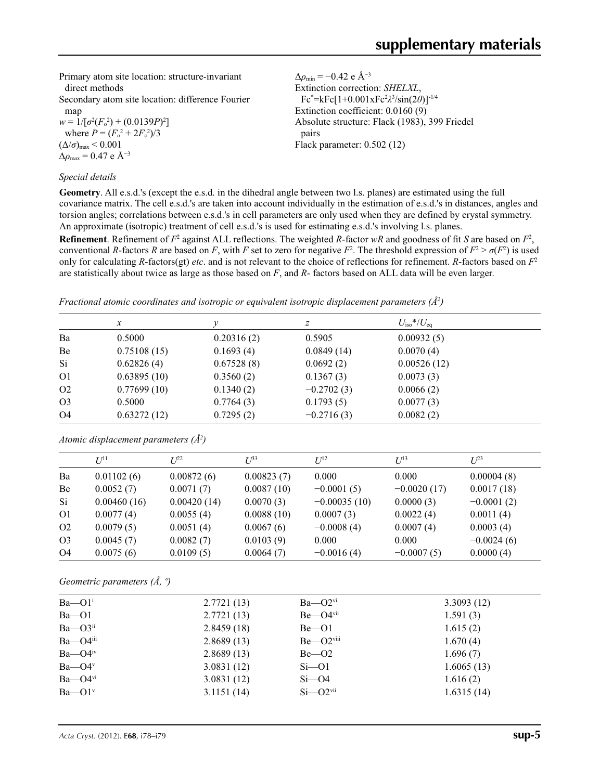Primary atom site location: structure-invariant direct methods

Secondary atom site location: difference Fourier map

 $w = 1/[\sigma^2 (F_o^2) + (0.0139P)^2]$ where  $P = (F_0^2 + 2F_c^2)/3$  $(\Delta/\sigma)_{\text{max}}$  < 0.001  $Δρ<sub>max</sub> = 0.47 e Å<sup>-3</sup>$ 

#### *Special details*

Δ*ρ*min = −0.42 e Å−3 Extinction correction: *SHELXL*, Fc\* =kFc[1+0.001xFc2 *λ*3 /sin(2*θ*)]-1/4 Extinction coefficient: 0.0160 (9) Absolute structure: Flack (1983), 399 Friedel pairs Flack parameter: 0.502 (12)

**Geometry**. All e.s.d.'s (except the e.s.d. in the dihedral angle between two l.s. planes) are estimated using the full covariance matrix. The cell e.s.d.'s are taken into account individually in the estimation of e.s.d.'s in distances, angles and torsion angles; correlations between e.s.d.'s in cell parameters are only used when they are defined by crystal symmetry. An approximate (isotropic) treatment of cell e.s.d.'s is used for estimating e.s.d.'s involving l.s. planes.

**Refinement**. Refinement of  $F^2$  against ALL reflections. The weighted R-factor wR and goodness of fit *S* are based on  $F^2$ , conventional *R*-factors *R* are based on *F*, with *F* set to zero for negative *F*<sup>2</sup>. The threshold expression of  $F^2 > \sigma(F^2)$  is used only for calculating *R*-factors(gt) *etc*. and is not relevant to the choice of reflections for refinement. *R*-factors based on *F*<sup>2</sup> are statistically about twice as large as those based on *F*, and *R*- factors based on ALL data will be even larger.

*Fractional atomic coordinates and isotropic or equivalent isotropic displacement parameters (Å<sup>2</sup>)* 

|                | $\boldsymbol{x}$ | ν          | Ζ            | $U_{\rm iso}*/U_{\rm eq}$ |
|----------------|------------------|------------|--------------|---------------------------|
| Ba             | 0.5000           | 0.20316(2) | 0.5905       | 0.00932(5)                |
| Be             | 0.75108(15)      | 0.1693(4)  | 0.0849(14)   | 0.0070(4)                 |
| Si             | 0.62826(4)       | 0.67528(8) | 0.0692(2)    | 0.00526(12)               |
| O <sub>1</sub> | 0.63895(10)      | 0.3560(2)  | 0.1367(3)    | 0.0073(3)                 |
| O <sub>2</sub> | 0.77699(10)      | 0.1340(2)  | $-0.2702(3)$ | 0.0066(2)                 |
| O <sub>3</sub> | 0.5000           | 0.7764(3)  | 0.1793(5)    | 0.0077(3)                 |
| O <sub>4</sub> | 0.63272(12)      | 0.7295(2)  | $-0.2716(3)$ | 0.0082(2)                 |

|                | $I^{11}$    | $I^{22}$    | $I^{\beta 3}$ | I/I <sup>2</sup> | $I^{13}$      | $I^{23}$     |
|----------------|-------------|-------------|---------------|------------------|---------------|--------------|
| Ba             | 0.01102(6)  | 0.00872(6)  | 0.00823(7)    | 0.000            | 0.000         | 0.00004(8)   |
| Be             | 0.0052(7)   | 0.0071(7)   | 0.0087(10)    | $-0.0001(5)$     | $-0.0020(17)$ | 0.0017(18)   |
| Si.            | 0.00460(16) | 0.00420(14) | 0.0070(3)     | $-0.00035(10)$   | 0.0000(3)     | $-0.0001(2)$ |
| O <sub>1</sub> | 0.0077(4)   | 0.0055(4)   | 0.0088(10)    | 0.0007(3)        | 0.0022(4)     | 0.0011(4)    |
| O <sub>2</sub> | 0.0079(5)   | 0.0051(4)   | 0.0067(6)     | $-0.0008(4)$     | 0.0007(4)     | 0.0003(4)    |
| O <sub>3</sub> | 0.0045(7)   | 0.0082(7)   | 0.0103(9)     | 0.000            | 0.000         | $-0.0024(6)$ |
| O <sub>4</sub> | 0.0075(6)   | 0.0109(5)   | 0.0064(7)     | $-0.0016(4)$     | $-0.0007(5)$  | 0.0000(4)    |

*Atomic displacement parameters (Å2 )*

*Geometric parameters (Å, º)*

| $Ba$ — $O1^i$              | 2.7721(13) | $Ba$ — $O2$ <sup>vi</sup>  | 3.3093(12) |
|----------------------------|------------|----------------------------|------------|
| $Ba$ — $O1$                | 2.7721(13) | $Be$ — $O4$ <sup>vii</sup> | 1.591(3)   |
| $Ba$ — $O3$ <sup>ii</sup>  | 2.8459(18) | $Be$ – $O1$                | 1.615(2)   |
| $Ba$ — $O4$ <sup>iii</sup> | 2.8689(13) | $Be - O2$ <sup>viii</sup>  | 1.670(4)   |
| $Ba$ — $O4^{\text{iv}}$    | 2.8689(13) | $Be - O2$                  | 1.696(7)   |
| $Ba$ — $O4$ <sup>v</sup>   | 3.0831(12) | $Si$ —O1                   | 1.6065(13) |
| $Ba$ — $O4$ <sup>vi</sup>  | 3.0831(12) | $Si$ $ O$ 4                | 1.616(2)   |
| $Ba$ — $O1$ <sup>v</sup>   | 3.1151(14) | $Si - O2$ <sup>vii</sup>   | 1.6315(14) |
|                            |            |                            |            |